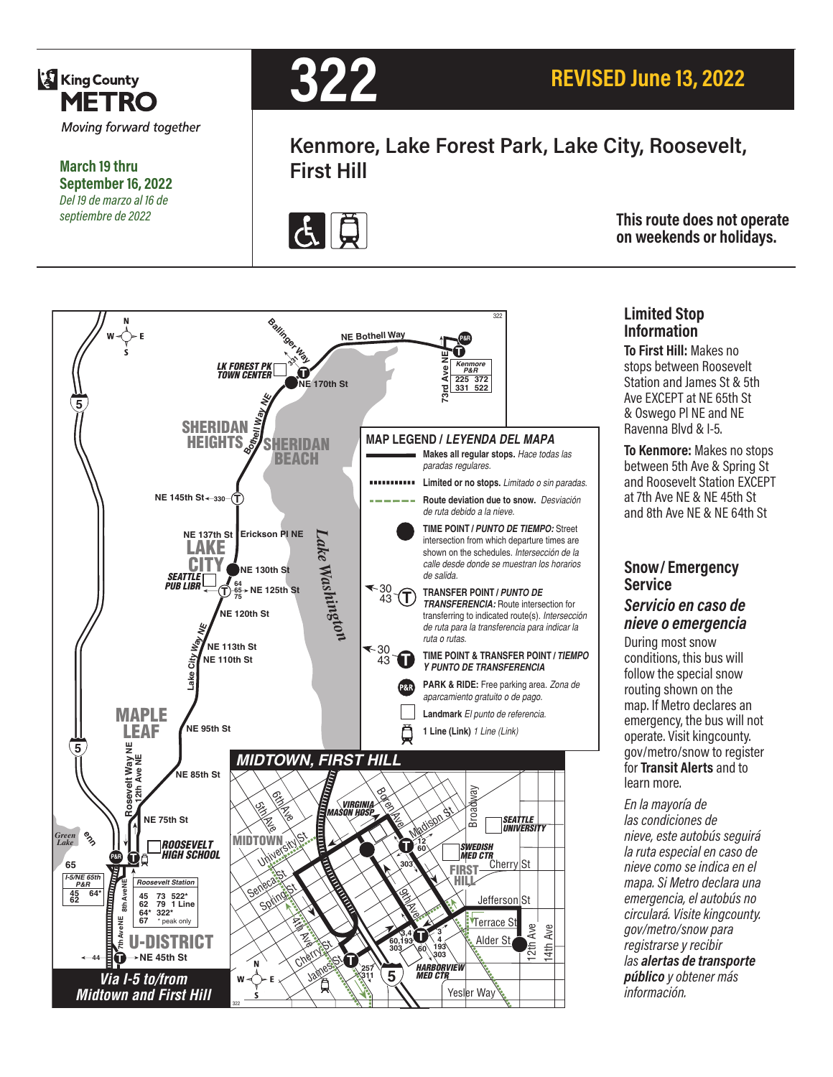

**March 19 thru September 16, 2022** *Del 19 de marzo al 16 de septiembre de 2022*



**Kenmore, Lake Forest Park, Lake City, Roosevelt, First Hill**



**This route does not operate on weekends or holidays.**



#### **Limited Stop Information**

**To First Hill:** Makes no stops between Roosevelt Station and James St & 5th Ave EXCEPT at NE 65th St & Oswego Pl NE and NE Ravenna Blvd & I-5.

**To Kenmore:** Makes no stops between 5th Ave & Spring St and Roosevelt Station EXCEPT at 7th Ave NE & NE 45th St and 8th Ave NE & NE 64th St

#### **Snow/ Emergency Service**  *Servicio en caso de nieve o emergencia*

During most snow conditions, this bus will follow the special snow routing shown on the map. If Metro declares an emergency, the bus will not operate. Visit kingcounty. gov/metro/snow to register for **Transit Alerts** and to learn more.

*En la mayoría de las condiciones de nieve, este autobús seguirá la ruta especial en caso de nieve como se indica en el mapa. Si Metro declara una emergencia, el autobús no circulará. Visite kingcounty. gov/metro/snow para registrarse y recibir las alertas de transporte público y obtener más información.*